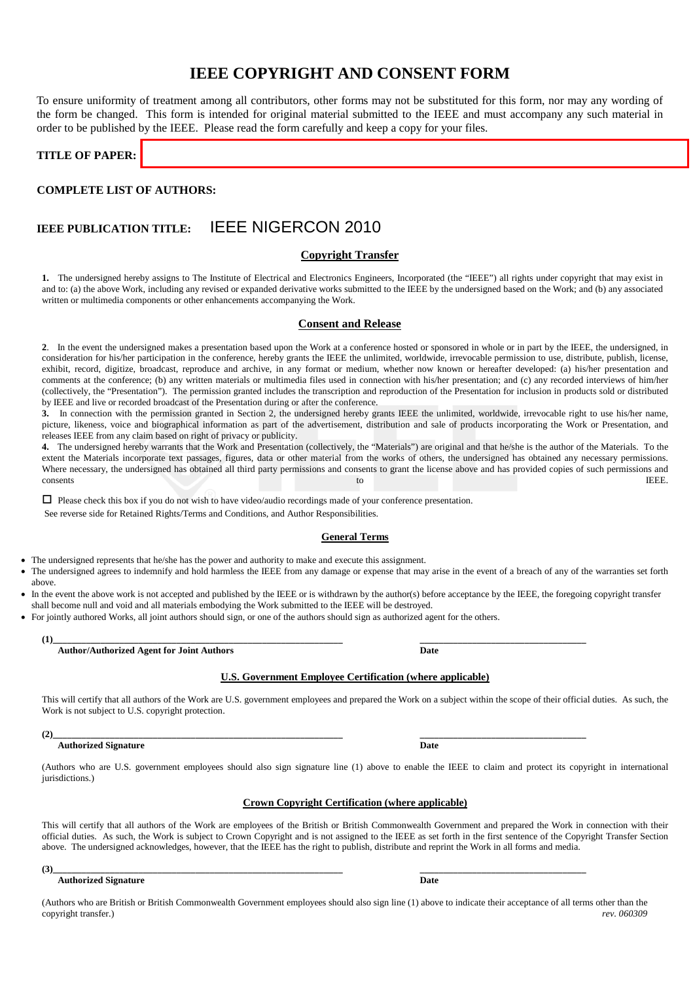# **IEEE COPYRIGHT AND CONSENT FORM**

To ensure uniformity of treatment among all contributors, other forms may not be substituted for this form, nor may any wording of the form be changed. This form is intended for original material submitted to the IEEE and must accompany any such material in order to be published by the IEEE. Please read the form carefully and keep a copy for your files.

**TITLE OF PAPER:** 

# **COMPLETE LIST OF AUTHORS:**

# **IEEE PUBLICATION TITLE:** IEEE NIGERCON 2010

# **Copyright Transfer**

**1.** The undersigned hereby assigns to The Institute of Electrical and Electronics Engineers, Incorporated (the "IEEE") all rights under copyright that may exist in and to: (a) the above Work, including any revised or expanded derivative works submitted to the IEEE by the undersigned based on the Work; and (b) any associated written or multimedia components or other enhancements accompanying the Work.

## **Consent and Release**

**2**. In the event the undersigned makes a presentation based upon the Work at a conference hosted or sponsored in whole or in part by the IEEE, the undersigned, in consideration for his/her participation in the conference, hereby grants the IEEE the unlimited, worldwide, irrevocable permission to use, distribute, publish, license, exhibit, record, digitize, broadcast, reproduce and archive, in any format or medium, whether now known or hereafter developed: (a) his/her presentation and comments at the conference; (b) any written materials or multimedia files used in connection with his/her presentation; and (c) any recorded interviews of him/her (collectively, the "Presentation"). The permission granted includes the transcription and reproduction of the Presentation for inclusion in products sold or distributed by IEEE and live or recorded broadcast of the Presentation during or after the conference.

**3.** In connection with the permission granted in Section 2, the undersigned hereby grants IEEE the unlimited, worldwide, irrevocable right to use his/her name, picture, likeness, voice and biographical information as part of the advertisement, distribution and sale of products incorporating the Work or Presentation, and releases IEEE from any claim based on right of privacy or publicity.

**4.** The undersigned hereby warrants that the Work and Presentation (collectively, the "Materials") are original and that he/she is the author of the Materials. To the extent the Materials incorporate text passages, figures, data or other material from the works of others, the undersigned has obtained any necessary permissions. Where necessary, the undersigned has obtained all third party permissions and consents to grant the license above and has provided copies of such permissions and consents to IEEE.

Please check this box if you do not wish to have video/audio recordings made of your conference presentation.

See reverse side for Retained Rights/Terms and Conditions, and Author Responsibilities.

### **General Terms**

The undersigned represents that he/she has the power and authority to make and execute this assignment.

The undersigned agrees to indemnify and hold harmless the IEEE from any damage or expense that may arise in the event of a breach of any of the warranties set forth above.

In the event the above work is not accepted and published by the IEEE or is withdrawn by the author(s) before acceptance by the IEEE, the foregoing copyright transfer shall become null and void and all materials embodying the Work submitted to the IEEE will be destroyed.

• For jointly authored Works, all joint authors should sign, or one of the authors should sign as authorized agent for the others.

**(1)\_\_\_\_\_\_\_\_\_\_\_\_\_\_\_\_\_\_\_\_\_\_\_\_\_\_\_\_\_\_\_\_\_\_\_\_\_\_\_\_\_\_\_\_\_\_\_\_\_\_\_\_\_\_\_\_\_\_\_\_\_ \_\_\_\_\_\_\_\_\_\_\_\_\_\_\_\_\_\_\_\_\_\_\_\_\_\_\_\_\_\_\_\_\_\_\_ Author/Authorized Agent for Joint Authors Date**

### **U.S. Government Employee Certification (where applicable)**

This will certify that all authors of the Work are U.S. government employees and prepared the Work on a subject within the scope of their official duties. As such, the Work is not subject to U.S. copyright protection.

### **Authorized Signature Date**

(Authors who are U.S. government employees should also sign signature line (1) above to enable the IEEE to claim and protect its copyright in international jurisdictions.)

### **Crown Copyright Certification (where applicable)**

This will certify that all authors of the Work are employees of the British or British Commonwealth Government and prepared the Work in connection with their official duties. As such, the Work is subject to Crown Copyright and is not assigned to the IEEE as set forth in the first sentence of the Copyright Transfer Section above. The undersigned acknowledges, however, that the IEEE has the right to publish, distribute and reprint the Work in all forms and media.

#### **(3)\_\_\_\_\_\_\_\_\_\_\_\_\_\_\_\_\_\_\_\_\_\_\_\_\_\_\_\_\_\_\_\_\_\_\_\_\_\_\_\_\_\_\_\_\_\_\_\_\_\_\_\_\_\_\_\_\_\_\_\_\_ \_\_\_\_\_\_\_\_\_\_\_\_\_\_\_\_\_\_\_\_\_\_\_\_\_\_\_\_\_\_\_\_\_\_\_ Authorized Signature Date**

(Authors who are British or British Commonwealth Government employees should also sign line (1) above to indicate their acceptance of all terms other than the convright transfer.)<br>rev. 060309 copyright transfer.)

**(2)\_\_\_\_\_\_\_\_\_\_\_\_\_\_\_\_\_\_\_\_\_\_\_\_\_\_\_\_\_\_\_\_\_\_\_\_\_\_\_\_\_\_\_\_\_\_\_\_\_\_\_\_\_\_\_\_\_\_\_\_\_ \_\_\_\_\_\_\_\_\_\_\_\_\_\_\_\_\_\_\_\_\_\_\_\_\_\_\_\_\_\_\_\_\_\_\_**